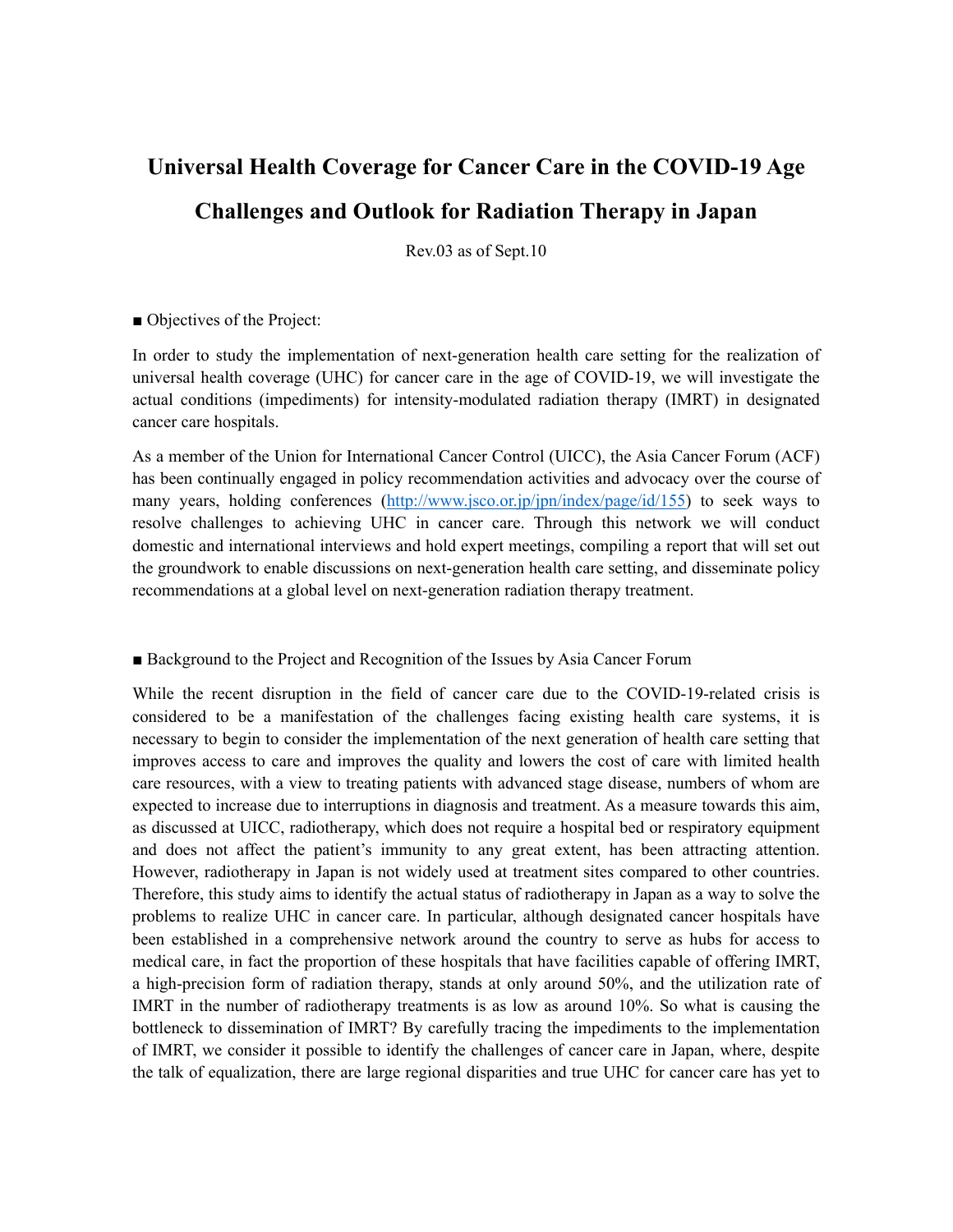# **Universal Health Coverage for Cancer Care in the COVID-19 Age Challenges and Outlook for Radiation Therapy in Japan**

Rev.03 as of Sept.10

#### ■ Objectives of the Project:

In order to study the implementation of next-generation health care setting for the realization of universal health coverage (UHC) for cancer care in the age of COVID-19, we will investigate the actual conditions (impediments) for intensity-modulated radiation therapy (IMRT) in designated cancer care hospitals.

As a member of the Union for International Cancer Control (UICC), the Asia Cancer Forum (ACF) has been continually engaged in policy recommendation activities and advocacy over the course of many years, holding conferences ([http://www.jsco.or.jp/jpn/index/page/id/155\)](http://www.jsco.or.jp/jpn/index/page/id/155) to seek ways to resolve challenges to achieving UHC in cancer care. Through this network we will conduct domestic and international interviews and hold expert meetings, compiling a report that will set out the groundwork to enable discussions on next-generation health care setting, and disseminate policy recommendations at a global level on next-generation radiation therapy treatment.

#### ■ Background to the Project and Recognition of the Issues by Asia Cancer Forum

While the recent disruption in the field of cancer care due to the COVID-19-related crisis is considered to be a manifestation of the challenges facing existing health care systems, it is necessary to begin to consider the implementation of the next generation of health care setting that improves access to care and improves the quality and lowers the cost of care with limited health care resources, with a view to treating patients with advanced stage disease, numbers of whom are expected to increase due to interruptions in diagnosis and treatment. As a measure towards this aim, as discussed at UICC, radiotherapy, which does not require a hospital bed or respiratory equipment and does not affect the patient's immunity to any great extent, has been attracting attention. However, radiotherapy in Japan is not widely used at treatment sites compared to other countries. Therefore, this study aims to identify the actual status of radiotherapy in Japan as a way to solve the problems to realize UHC in cancer care. In particular, although designated cancer hospitals have been established in a comprehensive network around the country to serve as hubs for access to medical care, in fact the proportion of these hospitals that have facilities capable of offering IMRT, a high-precision form of radiation therapy, stands at only around 50%, and the utilization rate of IMRT in the number of radiotherapy treatments is as low as around 10%. So what is causing the bottleneck to dissemination of IMRT? By carefully tracing the impediments to the implementation of IMRT, we consider it possible to identify the challenges of cancer care in Japan, where, despite the talk of equalization, there are large regional disparities and true UHC for cancer care has yet to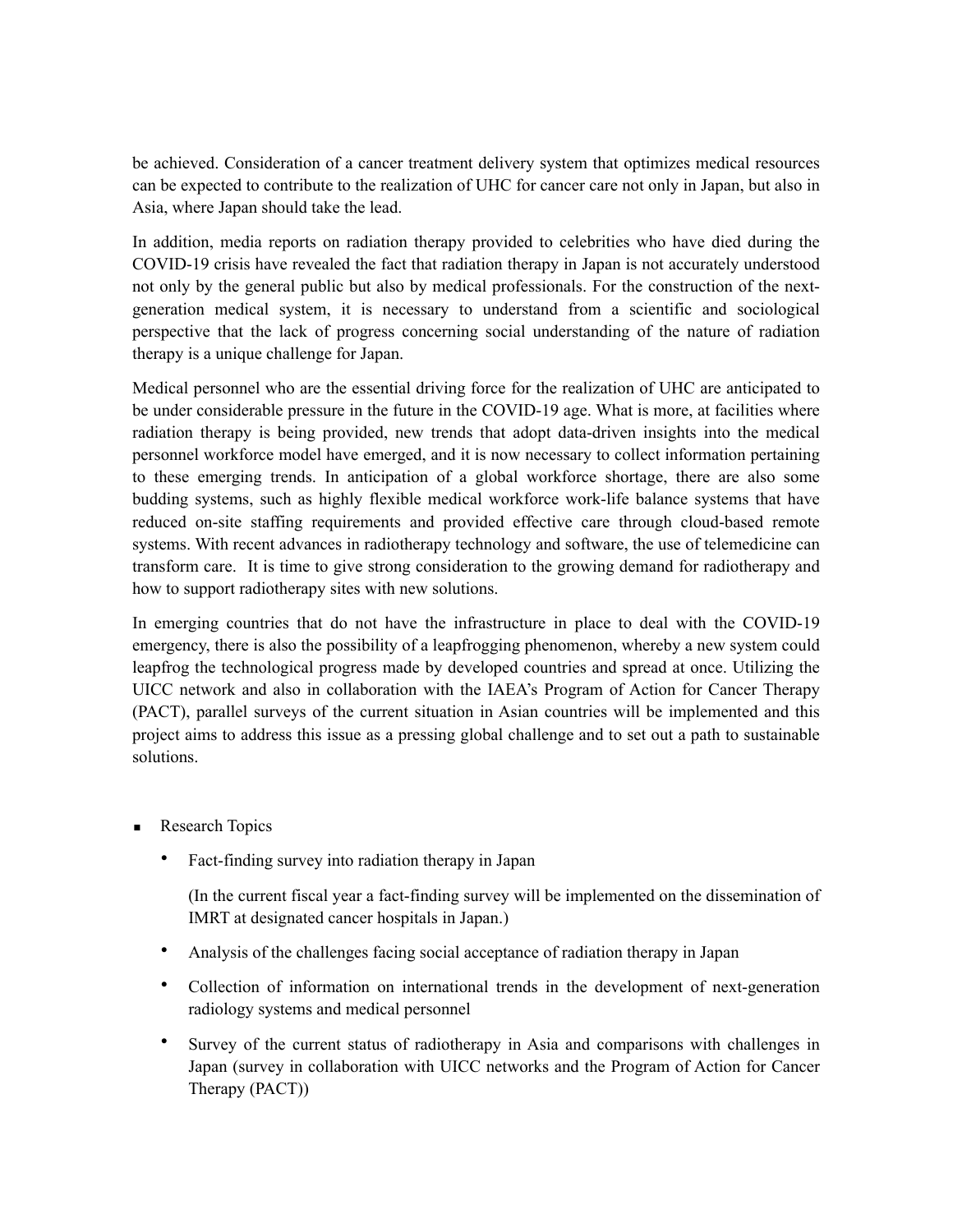be achieved. Consideration of a cancer treatment delivery system that optimizes medical resources can be expected to contribute to the realization of UHC for cancer care not only in Japan, but also in Asia, where Japan should take the lead.

In addition, media reports on radiation therapy provided to celebrities who have died during the COVID-19 crisis have revealed the fact that radiation therapy in Japan is not accurately understood not only by the general public but also by medical professionals. For the construction of the nextgeneration medical system, it is necessary to understand from a scientific and sociological perspective that the lack of progress concerning social understanding of the nature of radiation therapy is a unique challenge for Japan.

Medical personnel who are the essential driving force for the realization of UHC are anticipated to be under considerable pressure in the future in the COVID-19 age. What is more, at facilities where radiation therapy is being provided, new trends that adopt data-driven insights into the medical personnel workforce model have emerged, and it is now necessary to collect information pertaining to these emerging trends. In anticipation of a global workforce shortage, there are also some budding systems, such as highly flexible medical workforce work-life balance systems that have reduced on-site staffing requirements and provided effective care through cloud-based remote systems. With recent advances in radiotherapy technology and software, the use of telemedicine can transform care. It is time to give strong consideration to the growing demand for radiotherapy and how to support radiotherapy sites with new solutions.

In emerging countries that do not have the infrastructure in place to deal with the COVID-19 emergency, there is also the possibility of a leapfrogging phenomenon, whereby a new system could leapfrog the technological progress made by developed countries and spread at once. Utilizing the UICC network and also in collaboration with the IAEA's Program of Action for Cancer Therapy (PACT), parallel surveys of the current situation in Asian countries will be implemented and this project aims to address this issue as a pressing global challenge and to set out a path to sustainable solutions.

- Research Topics
	- Fact-finding survey into radiation therapy in Japan

(In the current fiscal year a fact-finding survey will be implemented on the dissemination of IMRT at designated cancer hospitals in Japan.)

- Analysis of the challenges facing social acceptance of radiation therapy in Japan
- Collection of information on international trends in the development of next-generation radiology systems and medical personnel
- Survey of the current status of radiotherapy in Asia and comparisons with challenges in Japan (survey in collaboration with UICC networks and the Program of Action for Cancer Therapy (PACT))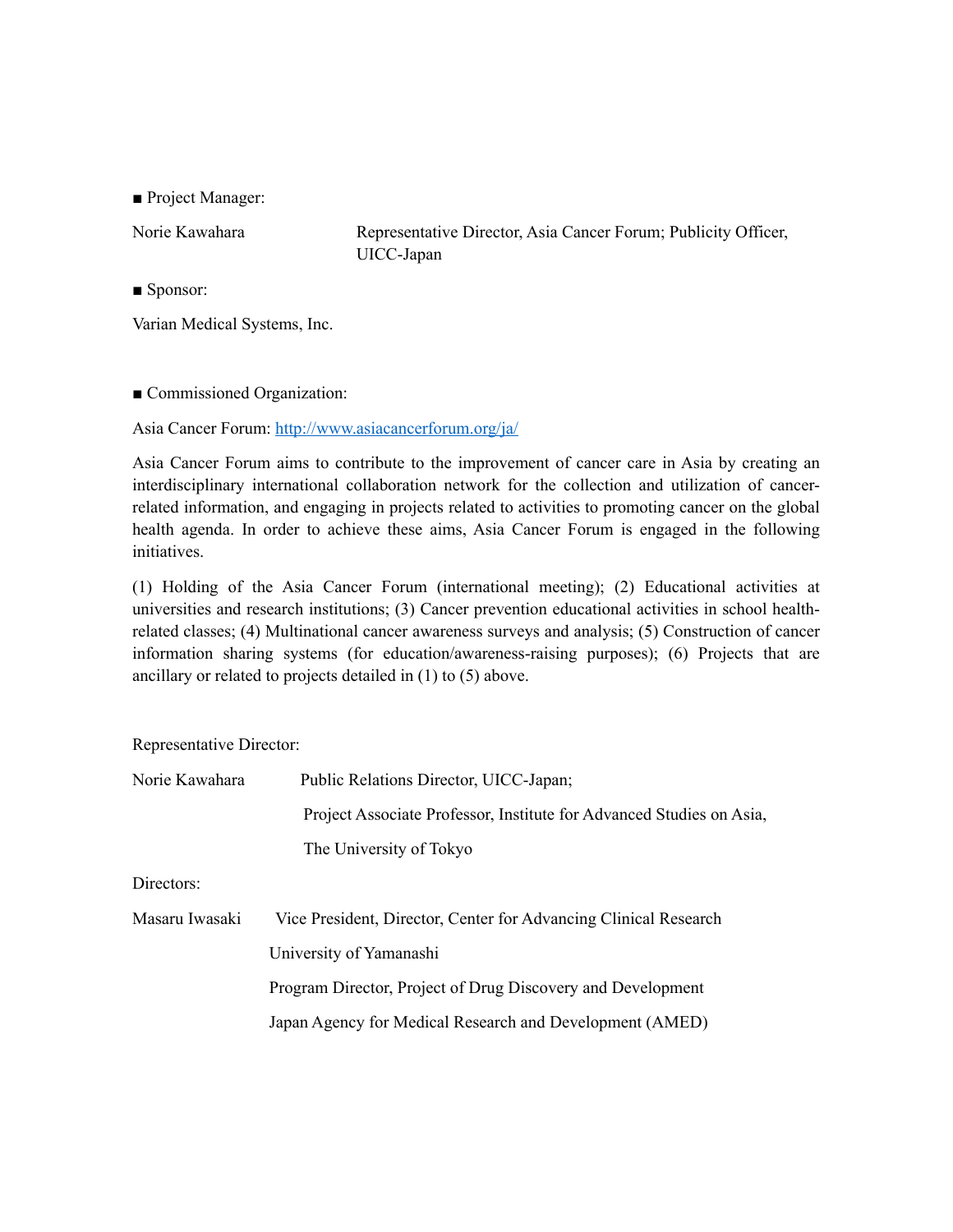■ Project Manager:

Norie Kawahara Representative Director, Asia Cancer Forum; Publicity Officer, UICC-Japan

■ Sponsor:

Varian Medical Systems, Inc.

■ Commissioned Organization:

Asia Cancer Forum:<http://www.asiacancerforum.org/ja/>

Asia Cancer Forum aims to contribute to the improvement of cancer care in Asia by creating an interdisciplinary international collaboration network for the collection and utilization of cancerrelated information, and engaging in projects related to activities to promoting cancer on the global health agenda. In order to achieve these aims, Asia Cancer Forum is engaged in the following initiatives.

(1) Holding of the Asia Cancer Forum (international meeting); (2) Educational activities at universities and research institutions; (3) Cancer prevention educational activities in school healthrelated classes; (4) Multinational cancer awareness surveys and analysis; (5) Construction of cancer information sharing systems (for education/awareness-raising purposes); (6) Projects that are ancillary or related to projects detailed in (1) to (5) above.

Representative Director:

| Norie Kawahara | Public Relations Director, UICC-Japan;                               |
|----------------|----------------------------------------------------------------------|
|                | Project Associate Professor, Institute for Advanced Studies on Asia, |
|                | The University of Tokyo                                              |
|                |                                                                      |

Directors:

| Masaru Iwasaki | Vice President, Director, Center for Advancing Clinical Research |
|----------------|------------------------------------------------------------------|
|                | University of Yamanashi                                          |
|                | Program Director, Project of Drug Discovery and Development      |
|                | Japan Agency for Medical Research and Development (AMED)         |